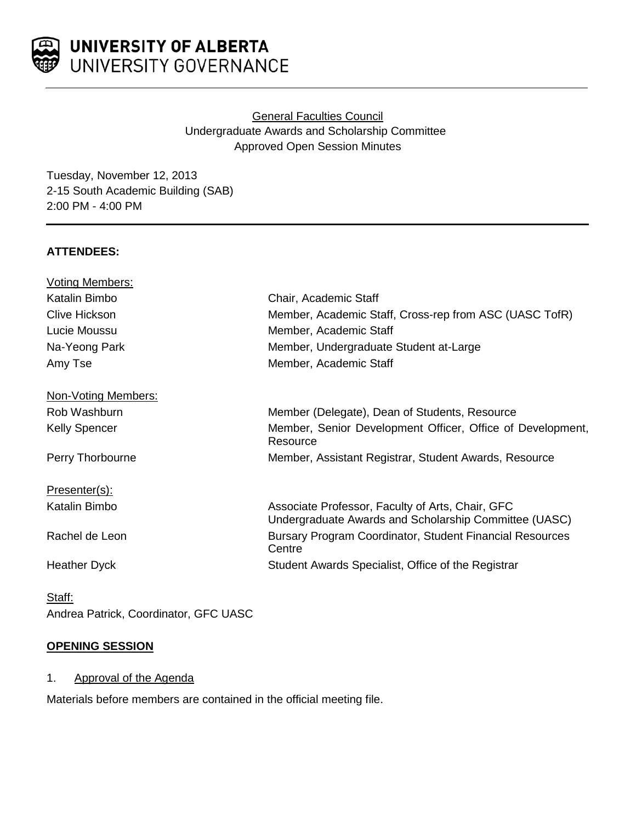

# UNIVERSITY OF ALBERTA UNIVERSITY GOVERNANCE

# General Faculties Council Undergraduate Awards and Scholarship Committee Approved Open Session Minutes

Tuesday, November 12, 2013 2-15 South Academic Building (SAB) 2:00 PM - 4:00 PM

# **ATTENDEES:**

| <b>Voting Members:</b> |                                                                                                           |
|------------------------|-----------------------------------------------------------------------------------------------------------|
| Katalin Bimbo          | Chair, Academic Staff                                                                                     |
| <b>Clive Hickson</b>   | Member, Academic Staff, Cross-rep from ASC (UASC TofR)                                                    |
| Lucie Moussu           | Member, Academic Staff                                                                                    |
| Na-Yeong Park          | Member, Undergraduate Student at-Large                                                                    |
| Amy Tse                | Member, Academic Staff                                                                                    |
| Non-Voting Members:    |                                                                                                           |
| Rob Washburn           | Member (Delegate), Dean of Students, Resource                                                             |
| <b>Kelly Spencer</b>   | Member, Senior Development Officer, Office of Development,<br>Resource                                    |
| Perry Thorbourne       | Member, Assistant Registrar, Student Awards, Resource                                                     |
| Presenter(s):          |                                                                                                           |
| Katalin Bimbo          | Associate Professor, Faculty of Arts, Chair, GFC<br>Undergraduate Awards and Scholarship Committee (UASC) |
| Rachel de Leon         | <b>Bursary Program Coordinator, Student Financial Resources</b><br>Centre                                 |
| <b>Heather Dyck</b>    | Student Awards Specialist, Office of the Registrar                                                        |
|                        |                                                                                                           |

Staff: Andrea Patrick, Coordinator, GFC UASC

## **OPENING SESSION**

#### 1. Approval of the Agenda

Materials before members are contained in the official meeting file.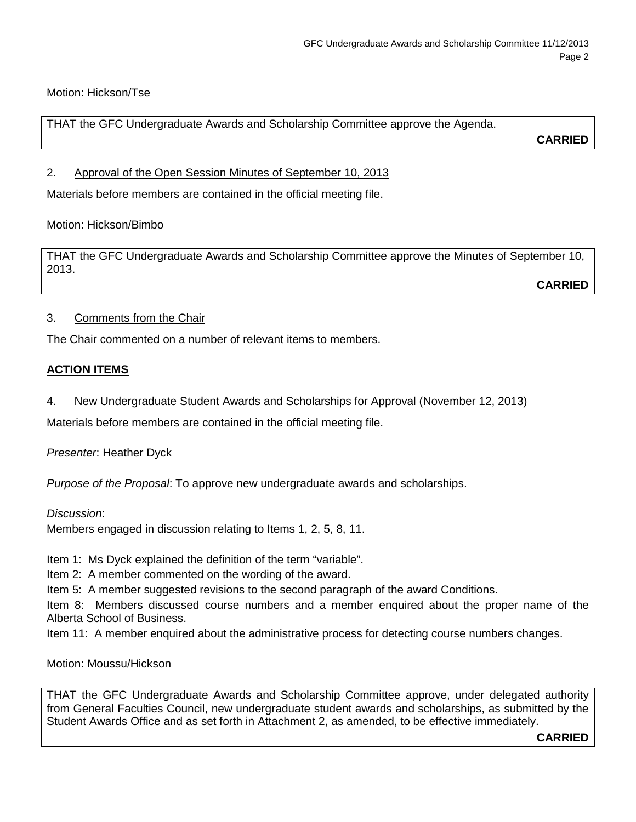# Motion: Hickson/Tse

THAT the GFC Undergraduate Awards and Scholarship Committee approve the Agenda.

**CARRIED**

## 2. Approval of the Open Session Minutes of September 10, 2013

Materials before members are contained in the official meeting file.

Motion: Hickson/Bimbo

THAT the GFC Undergraduate Awards and Scholarship Committee approve the Minutes of September 10, 2013.

**CARRIED**

# 3. Comments from the Chair

The Chair commented on a number of relevant items to members.

# **ACTION ITEMS**

4. New Undergraduate Student Awards and Scholarships for Approval (November 12, 2013)

Materials before members are contained in the official meeting file.

*Presenter*: Heather Dyck

*Purpose of the Proposal*: To approve new undergraduate awards and scholarships.

## *Discussion*:

Members engaged in discussion relating to Items 1, 2, 5, 8, 11.

Item 1: Ms Dyck explained the definition of the term "variable".

Item 2: A member commented on the wording of the award.

Item 5: A member suggested revisions to the second paragraph of the award Conditions.

Item 8: Members discussed course numbers and a member enquired about the proper name of the Alberta School of Business.

Item 11: A member enquired about the administrative process for detecting course numbers changes.

Motion: Moussu/Hickson

THAT the GFC Undergraduate Awards and Scholarship Committee approve, under delegated authority from General Faculties Council, new undergraduate student awards and scholarships, as submitted by the Student Awards Office and as set forth in Attachment 2, as amended, to be effective immediately.

**CARRIED**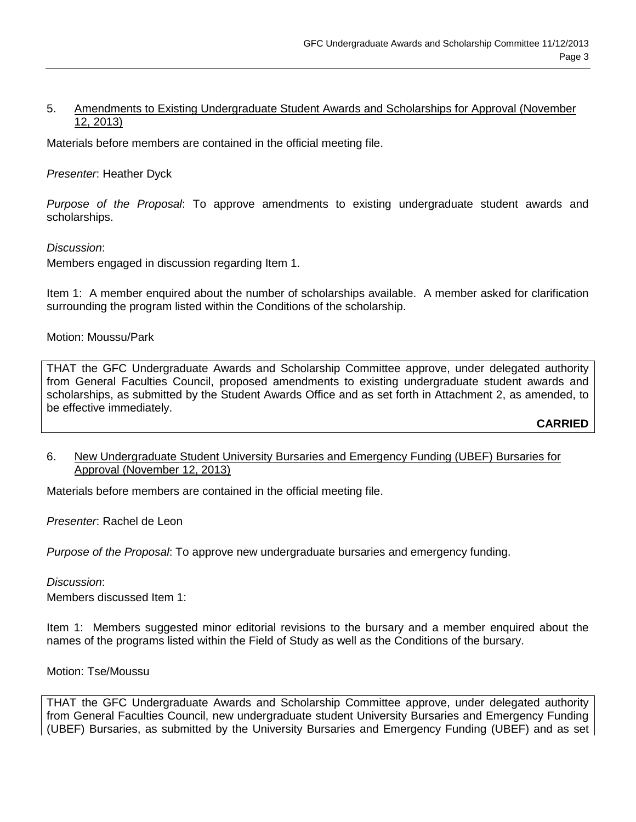### 5. Amendments to Existing Undergraduate Student Awards and Scholarships for Approval (November 12, 2013)

Materials before members are contained in the official meeting file.

#### *Presenter*: Heather Dyck

*Purpose of the Proposal*: To approve amendments to existing undergraduate student awards and scholarships.

#### *Discussion*:

Members engaged in discussion regarding Item 1.

Item 1: A member enquired about the number of scholarships available. A member asked for clarification surrounding the program listed within the Conditions of the scholarship.

Motion: Moussu/Park

THAT the GFC Undergraduate Awards and Scholarship Committee approve, under delegated authority from General Faculties Council, proposed amendments to existing undergraduate student awards and scholarships, as submitted by the Student Awards Office and as set forth in Attachment 2, as amended, to be effective immediately.

## **CARRIED**

#### 6. New Undergraduate Student University Bursaries and Emergency Funding (UBEF) Bursaries for Approval (November 12, 2013)

Materials before members are contained in the official meeting file.

*Presenter*: Rachel de Leon

*Purpose of the Proposal*: To approve new undergraduate bursaries and emergency funding.

#### *Discussion*:

Members discussed Item 1:

Item 1: Members suggested minor editorial revisions to the bursary and a member enquired about the names of the programs listed within the Field of Study as well as the Conditions of the bursary.

#### Motion: Tse/Moussu

THAT the GFC Undergraduate Awards and Scholarship Committee approve, under delegated authority from General Faculties Council, new undergraduate student University Bursaries and Emergency Funding (UBEF) Bursaries, as submitted by the University Bursaries and Emergency Funding (UBEF) and as set